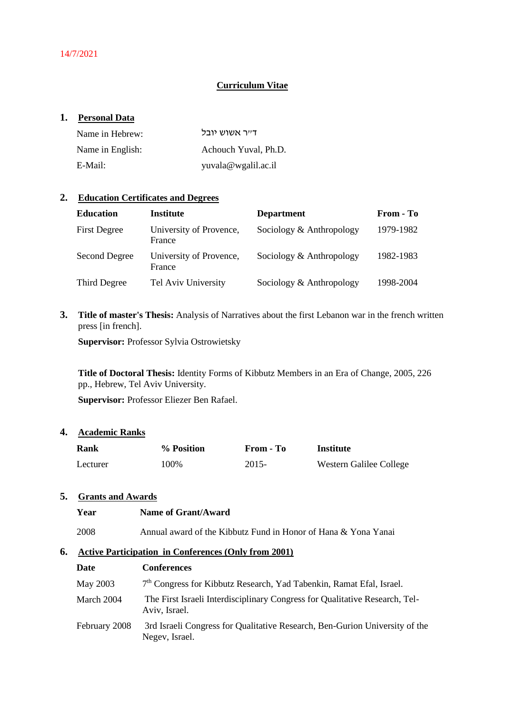# **Curriculum Vitae**

### **1. Personal Data**

| Name in Hebrew:  | דייר אשוש יובל       |
|------------------|----------------------|
| Name in English: | Achouch Yuval, Ph.D. |
| E-Mail:          | yuvala@wgalil.ac.il  |

#### **2. Education Certificates and Degrees**

| <b>Education</b>    | <b>Institute</b>                  | <b>Department</b>        | From - To |
|---------------------|-----------------------------------|--------------------------|-----------|
| <b>First Degree</b> | University of Provence,<br>France | Sociology & Anthropology | 1979-1982 |
| Second Degree       | University of Provence,<br>France | Sociology & Anthropology | 1982-1983 |
| Third Degree        | Tel Aviv University               | Sociology & Anthropology | 1998-2004 |

**3. Title of master's Thesis:** Analysis of Narratives about the first Lebanon war in the french written press [in french].

**Supervisor: Professor Sylvia Ostrowietsky** 

**Title of Doctoral Thesis:** Identity Forms of Kibbutz Members in an Era of Change, 2005, 226 pp., Hebrew, Tel Aviv University.

**Supervisor:** Professor Eliezer Ben Rafael.

# **4. Academic Ranks**

| <b>Rank</b> | % Position | From - To | Institute               |
|-------------|------------|-----------|-------------------------|
| Lecturer    | 100%       | $2015-$   | Western Galilee College |

# **5. Grants and Awards**

| Year | Name of Grant/Award                                            |
|------|----------------------------------------------------------------|
| 2008 | Annual award of the Kibbutz Fund in Honor of Hana & Yona Yanai |

#### **6. Active Participation in Conferences (Only from 2001)**

| Date          | <b>Conferences</b>                                                                            |
|---------------|-----------------------------------------------------------------------------------------------|
| May 2003      | 7 <sup>th</sup> Congress for Kibbutz Research, Yad Tabenkin, Ramat Efal, Israel.              |
| March 2004    | The First Israeli Interdisciplinary Congress for Qualitative Research, Tel-<br>Aviv, Israel.  |
| February 2008 | 3rd Israeli Congress for Qualitative Research, Ben-Gurion University of the<br>Negev, Israel. |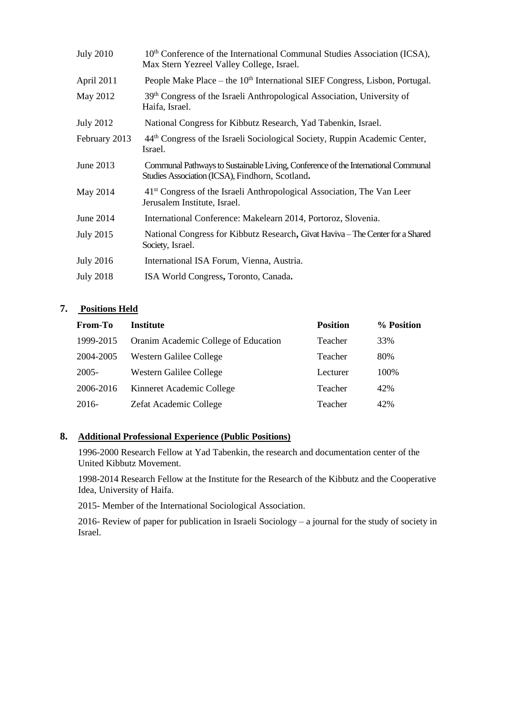| <b>July 2010</b> | 10 <sup>th</sup> Conference of the International Communal Studies Association (ICSA),<br>Max Stern Yezreel Valley College, Israel.   |
|------------------|--------------------------------------------------------------------------------------------------------------------------------------|
| April 2011       | People Make Place – the 10 <sup>th</sup> International SIEF Congress, Lisbon, Portugal.                                              |
| May 2012         | 39 <sup>th</sup> Congress of the Israeli Anthropological Association, University of<br>Haifa, Israel.                                |
| <b>July 2012</b> | National Congress for Kibbutz Research, Yad Tabenkin, Israel.                                                                        |
| February 2013    | 44 <sup>th</sup> Congress of the Israeli Sociological Society, Ruppin Academic Center,<br>Israel.                                    |
| June 2013        | Communal Pathways to Sustainable Living, Conference of the International Communal<br>Studies Association (ICSA), Findhorn, Scotland. |
| May 2014         | 41 <sup>st</sup> Congress of the Israeli Anthropological Association, The Van Leer<br>Jerusalem Institute, Israel.                   |
| June 2014        | International Conference: Makelearn 2014, Portoroz, Slovenia.                                                                        |
| <b>July 2015</b> | National Congress for Kibbutz Research, Givat Haviva-The Center for a Shared<br>Society, Israel.                                     |
| <b>July 2016</b> | International ISA Forum, Vienna, Austria.                                                                                            |
| <b>July 2018</b> | ISA World Congress, Toronto, Canada.                                                                                                 |

# **7. Positions Held**

| From-To   | <b>Institute</b>                     | <b>Position</b> | % Position |
|-----------|--------------------------------------|-----------------|------------|
| 1999-2015 | Oranim Academic College of Education | Teacher         | 33%        |
| 2004-2005 | Western Galilee College              | Teacher         | 80%        |
| $2005 -$  | <b>Western Galilee College</b>       | Lecturer        | 100%       |
| 2006-2016 | Kinneret Academic College            | Teacher         | 42%        |
| 2016-     | Zefat Academic College               | Teacher         | 42%        |

# **8. Additional Professional Experience (Public Positions)**

1996-2000 Research Fellow at Yad Tabenkin, the research and documentation center of the United Kibbutz Movement.

1998-2014 Research Fellow at the Institute for the Research of the Kibbutz and the Cooperative Idea, University of Haifa.

2015- Member of the International Sociological Association.

2016- Review of paper for publication in Israeli Sociology – a journal for the study of society in Israel.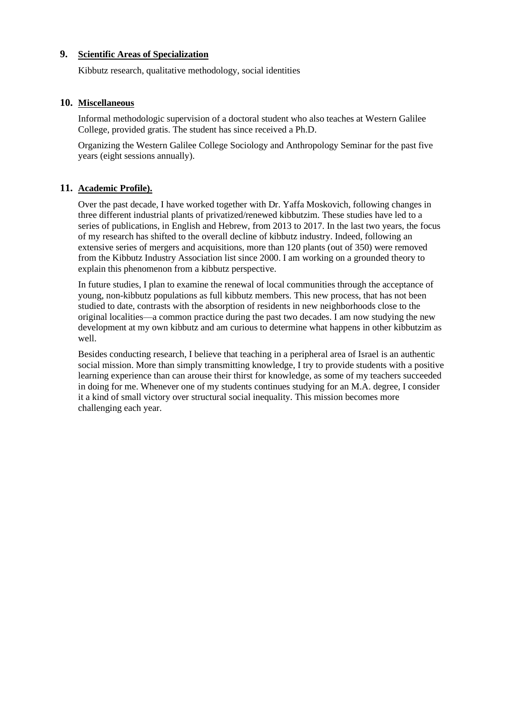# **9. Scientific Areas of Specialization**

Kibbutz research, qualitative methodology, social identities

### **10. Miscellaneous**

Informal methodologic supervision of a doctoral student who also teaches at Western Galilee College, provided gratis. The student has since received a Ph.D.

Organizing the Western Galilee College Sociology and Anthropology Seminar for the past five years (eight sessions annually).

# **11. Academic Profile).**

Over the past decade, I have worked together with Dr. Yaffa Moskovich, following changes in three different industrial plants of privatized/renewed kibbutzim. These studies have led to a series of publications, in English and Hebrew, from 2013 to 2017. In the last two years, the focus of my research has shifted to the overall decline of kibbutz industry. Indeed, following an extensive series of mergers and acquisitions, more than 120 plants (out of 350) were removed from the Kibbutz Industry Association list since 2000. I am working on a grounded theory to explain this phenomenon from a kibbutz perspective.

In future studies, I plan to examine the renewal of local communities through the acceptance of young, non-kibbutz populations as full kibbutz members. This new process, that has not been studied to date, contrasts with the absorption of residents in new neighborhoods close to the original localities—a common practice during the past two decades. I am now studying the new development at my own kibbutz and am curious to determine what happens in other kibbutzim as well.

Besides conducting research, I believe that teaching in a peripheral area of Israel is an authentic social mission. More than simply transmitting knowledge, I try to provide students with a positive learning experience than can arouse their thirst for knowledge, as some of my teachers succeeded in doing for me. Whenever one of my students continues studying for an M.A. degree, I consider it a kind of small victory over structural social inequality. This mission becomes more challenging each year.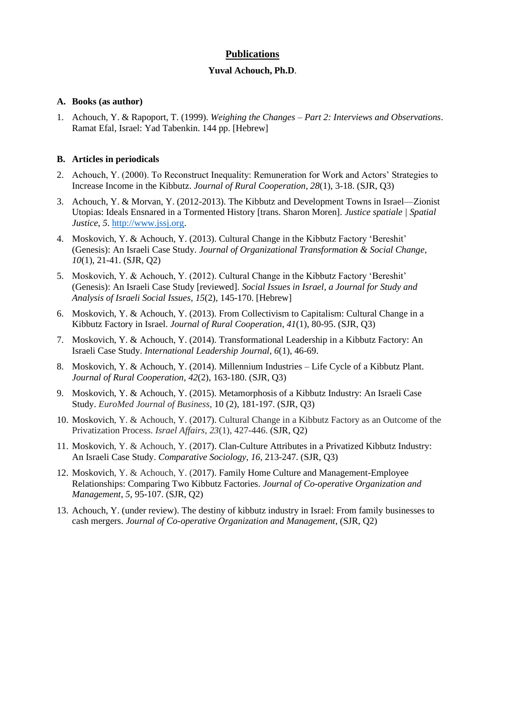# **Publications**

#### **Yuval Achouch, Ph.D**.

#### **A. Books (as author)**

1. Achouch, Y. & Rapoport, T. (1999). *Weighing the Changes – Part 2: Interviews and Observations*. Ramat Efal, Israel: Yad Tabenkin. 144 pp. [Hebrew]

## **B. Articles in periodicals**

- 2. Achouch, Y. (2000). To Reconstruct Inequality: Remuneration for Work and Actors' Strategies to Increase Income in the Kibbutz. *Journal of Rural Cooperation*, *28*(1), 3-18. (SJR, Q3)
- 3. Achouch, Y. & Morvan, Y. (2012-2013). The Kibbutz and Development Towns in Israel—Zionist Utopias: Ideals Ensnared in a Tormented History [trans. Sharon Moren]. *Justice spatiale | Spatial Justice*, 5. [http://www.jssj.org.](http://www.jssj.org/)
- 4. Moskovich, Y. & Achouch, Y. (2013). Cultural Change in the Kibbutz Factory 'Bereshit' (Genesis): An Israeli Case Study. *Journal of Organizational Transformation & Social Change*, *10*(1), 21-41. (SJR, Q2)
- 5. Moskovich, Y. & Achouch, Y. (2012). Cultural Change in the Kibbutz Factory 'Bereshit' (Genesis): An Israeli Case Study [reviewed]. *Social Issues in Israel*, *a Journal for Study and Analysis of Israeli Social Issues*, *15*(2), 145-170. [Hebrew]
- 6. Moskovich, Y. & Achouch, Y. (2013). From Collectivism to Capitalism: Cultural Change in a Kibbutz Factory in Israel. *Journal of Rural Cooperation*, *41*(1), 80-95. (SJR, Q3)
- 7. Moskovich, Y. & Achouch, Y. (2014). Transformational Leadership in a Kibbutz Factory: An Israeli Case Study. *International Leadership Journal*, *6*(1), 46-69.
- 8. Moskovich, Y. & Achouch, Y. (2014). Millennium Industries Life Cycle of a Kibbutz Plant. *Journal of Rural Cooperation*, *42*(2), 163-180. (SJR, Q3)
- 9. Moskovich, Y. & Achouch, Y. (2015). Metamorphosis of a Kibbutz Industry: An Israeli Case Study. *EuroMed Journal of Business*, 10 (2), 181-197. (SJR, Q3)
- 10. Moskovich, Y. & Achouch, Y. (2017). Cultural Change in a Kibbutz Factory as an Outcome of the Privatization Process. *Israel Affairs*, *23*(1), 427-446. (SJR, Q2)
- 11. Moskovich, Y. & Achouch, Y. (2017). Clan-Culture Attributes in a Privatized Kibbutz Industry: An Israeli Case Study. *Comparative Sociology*, *16*, 213-247. (SJR, Q3)
- 12. Moskovich, Y. & Achouch, Y. (2017). Family Home Culture and Management-Employee Relationships: Comparing Two Kibbutz Factories. *Journal of Co-operative Organization and Management*, *5*, 95-107. (SJR, Q2)
- 13. Achouch, Y. (under review). The destiny of kibbutz industry in Israel: From family businesses to cash mergers. *Journal of Co-operative Organization and Management*, (SJR, Q2)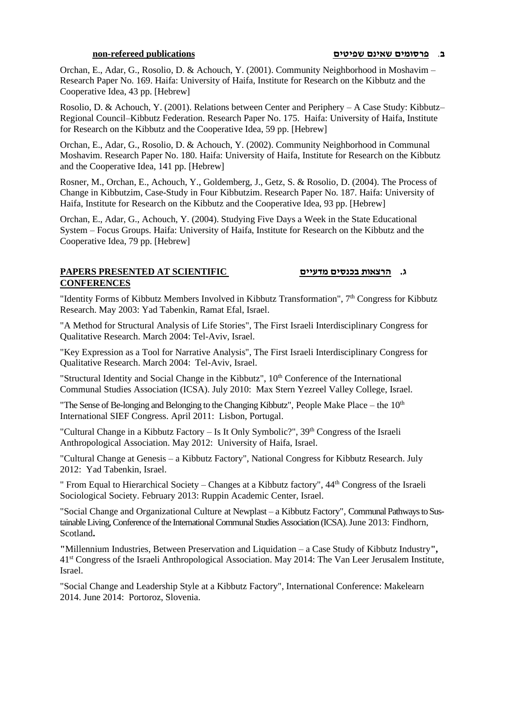Orchan, E., Adar, G., Rosolio, D. & Achouch, Y. (2001). Community Neighborhood in Moshavim – Research Paper No. 169. Haifa: University of Haifa, Institute for Research on the Kibbutz and the Cooperative Idea, 43 pp. [Hebrew]

Rosolio, D. & Achouch, Y. (2001). Relations between Center and Periphery – A Case Study: Kibbutz– Regional Council–Kibbutz Federation. Research Paper No. 175. Haifa: University of Haifa, Institute for Research on the Kibbutz and the Cooperative Idea, 59 pp. [Hebrew]

Orchan, E., Adar, G., Rosolio, D. & Achouch, Y. (2002). Community Neighborhood in Communal Moshavim. Research Paper No. 180. Haifa: University of Haifa, Institute for Research on the Kibbutz and the Cooperative Idea, 141 pp. [Hebrew]

Rosner, M., Orchan, E., Achouch, Y., Goldemberg, J., Getz, S. & Rosolio, D. (2004). The Process of Change in Kibbutzim, Case-Study in Four Kibbutzim. Research Paper No. 187. Haifa: University of Haifa, Institute for Research on the Kibbutz and the Cooperative Idea, 93 pp. [Hebrew]

Orchan, E., Adar, G., Achouch, Y. (2004). Studying Five Days a Week in the State Educational System – Focus Groups. Haifa: University of Haifa, Institute for Research on the Kibbutz and the Cooperative Idea, 79 pp. [Hebrew]

# **ג. הרצאות בכנסים מדעיים SCIENTIFIC AT PRESENTED PAPERS CONFERENCES**

"Identity Forms of Kibbutz Members Involved in Kibbutz Transformation", 7<sup>th</sup> Congress for Kibbutz Research. May 2003: Yad Tabenkin, Ramat Efal, Israel.

"A Method for Structural Analysis of Life Stories", The First Israeli Interdisciplinary Congress for Qualitative Research. March 2004: Tel-Aviv, Israel.

"Key Expression as a Tool for Narrative Analysis", The First Israeli Interdisciplinary Congress for Qualitative Research. March 2004: Tel-Aviv, Israel.

"Structural Identity and Social Change in the Kibbutz",  $10<sup>th</sup>$  Conference of the International Communal Studies Association (ICSA). July 2010: Max Stern Yezreel Valley College, Israel.

"The Sense of Be-longing and Belonging to the Changing Kibbutz", People Make Place – the  $10<sup>th</sup>$ International SIEF Congress. April 2011: Lisbon, Portugal.

"Cultural Change in a Kibbutz Factory – Is It Only Symbolic?", 39<sup>th</sup> Congress of the Israeli Anthropological Association. May 2012: University of Haifa, Israel.

"Cultural Change at Genesis – a Kibbutz Factory", National Congress for Kibbutz Research. July 2012: Yad Tabenkin, Israel.

" From Equal to Hierarchical Society – Changes at a Kibbutz factory", 44th Congress of the Israeli Sociological Society. February 2013: Ruppin Academic Center, Israel.

"Social Change and Organizational Culture at Newplast – a Kibbutz Factory", Communal Pathways to Sustainable Living, Conference of the International Communal Studies Association (ICSA). June 2013: Findhorn, Scotland**.** 

**"**Millennium Industries, Between Preservation and Liquidation – a Case Study of Kibbutz Industry**",**  41st Congress of the Israeli Anthropological Association. May 2014: The Van Leer Jerusalem Institute, Israel.

"Social Change and Leadership Style at a Kibbutz Factory", International Conference: Makelearn 2014. June 2014: Portoroz, Slovenia.